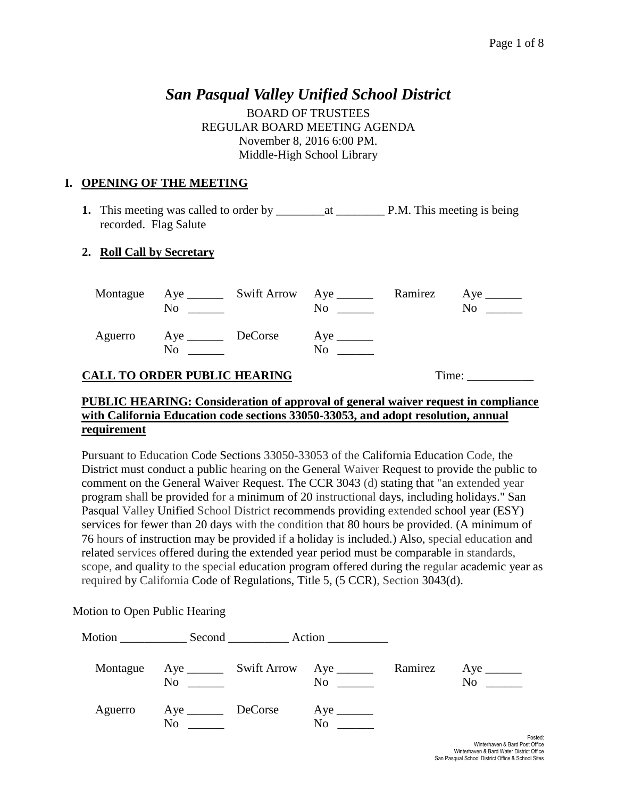# *San Pasqual Valley Unified School District*

BOARD OF TRUSTEES REGULAR BOARD MEETING AGENDA November 8, 2016 6:00 PM. Middle-High School Library

#### **I. OPENING OF THE MEETING**

**1.** This meeting was called to order by \_\_\_\_\_\_\_\_at \_\_\_\_\_\_\_\_ P.M. This meeting is being recorded. Flag Salute

### **2. Roll Call by Secretary**

|         | No                       | Montague Aye ________ Swift Arrow Aye _______<br>No | Ramirez | No. |
|---------|--------------------------|-----------------------------------------------------|---------|-----|
| Aguerro | Aye <u>DeCorse</u><br>No | No                                                  |         |     |

# **CALL TO ORDER PUBLIC HEARING** Time: \_\_\_\_\_\_\_\_\_\_\_

#### **PUBLIC HEARING: Consideration of approval of general waiver request in compliance with California Education code sections 33050-33053, and adopt resolution, annual requirement**

Pursuant to Education Code Sections 33050-33053 of the California Education Code, the District must conduct a public hearing on the General Waiver Request to provide the public to comment on the General Waiver Request. The CCR 3043 (d) stating that "an extended year program shall be provided for a minimum of 20 instructional days, including holidays." San Pasqual Valley Unified School District recommends providing extended school year (ESY) services for fewer than 20 days with the condition that 80 hours be provided. (A minimum of 76 hours of instruction may be provided if a holiday is included.) Also, special education and related services offered during the extended year period must be comparable in standards, scope, and quality to the special education program offered during the regular academic year as required by California Code of Regulations, Title 5, (5 CCR), Section 3043(d).

Motion to Open Public Hearing

| Montague | No                           | Aye ___________ Swift Arrow Aye ________<br>N <sub>0</sub> | Ramirez | $Aye$ <sub>________</sub><br>N <sub>0</sub> |
|----------|------------------------------|------------------------------------------------------------|---------|---------------------------------------------|
| Aguerro  | Aye __________ DeCorse<br>No | N <sub>0</sub>                                             |         |                                             |
|          |                              |                                                            |         | Po<br>Winterbough & Pard Doot C             |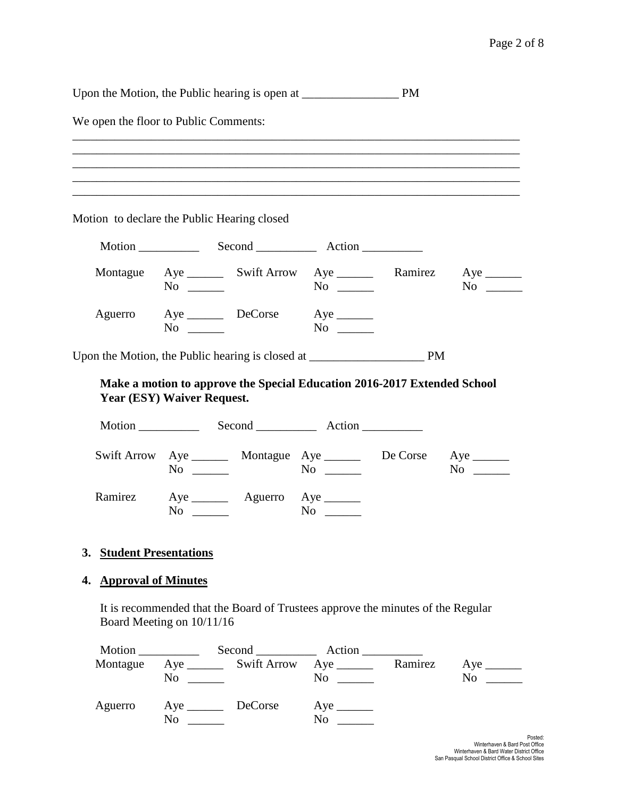Upon the Motion, the Public hearing is open at \_\_\_\_\_\_\_\_\_\_\_\_\_\_\_\_ PM

We open the floor to Public Comments:

| ,一个人的人都是一个人的人,我们就是一个人的人,我们就是一个人的人,我们就是一个人的人,我们就是一个人的人,我们就是一个人的人,我们就是一个人的人,我们就是一个人 |  |  |  |
|-----------------------------------------------------------------------------------|--|--|--|
|                                                                                   |  |  |  |

Motion to declare the Public Hearing closed

| Montague | No                       | and the state of the state of the | $\overline{N}$ o $\overline{\phantom{nnn}}$ | Ramirez | No<br>$\mathcal{L}^{\text{max}}_{\text{max}}$ |
|----------|--------------------------|-----------------------------------|---------------------------------------------|---------|-----------------------------------------------|
| Aguerro  | Aye <u>DeCorse</u><br>No |                                   | No.                                         |         |                                               |

Upon the Motion, the Public hearing is closed at \_\_\_\_\_\_\_\_\_\_\_\_\_\_\_\_\_\_\_ PM

### **Make a motion to approve the Special Education 2016-2017 Extended School Year (ESY) Waiver Request.**

| Motion ___________ |                | Second Action                                |                |          |    |
|--------------------|----------------|----------------------------------------------|----------------|----------|----|
|                    | N <sub>0</sub> | Swift Arrow Aye ________ Montague Aye ______ | N <sub>0</sub> | De Corse | No |
| Ramirez            | No             | $Aye$ $Ay$ $Ay$ $Ay$ $Ay$ $Ay$ $Ay$          | No.            |          |    |

#### **3. Student Presentations**

#### **4. Approval of Minutes**

It is recommended that the Board of Trustees approve the minutes of the Regular Board Meeting on 10/11/16

|          |                                                                                                               |                            | Second Action                           |         |    |
|----------|---------------------------------------------------------------------------------------------------------------|----------------------------|-----------------------------------------|---------|----|
| Montague | No<br>$\frac{1}{2}$ and $\frac{1}{2}$ and $\frac{1}{2}$ and $\frac{1}{2}$ and $\frac{1}{2}$ and $\frac{1}{2}$ | Aye __________ Swift Arrow | $Aye$ <sub>_______</sub><br>No $\qquad$ | Ramirez | No |
| Aguerro  | No                                                                                                            |                            | No                                      |         |    |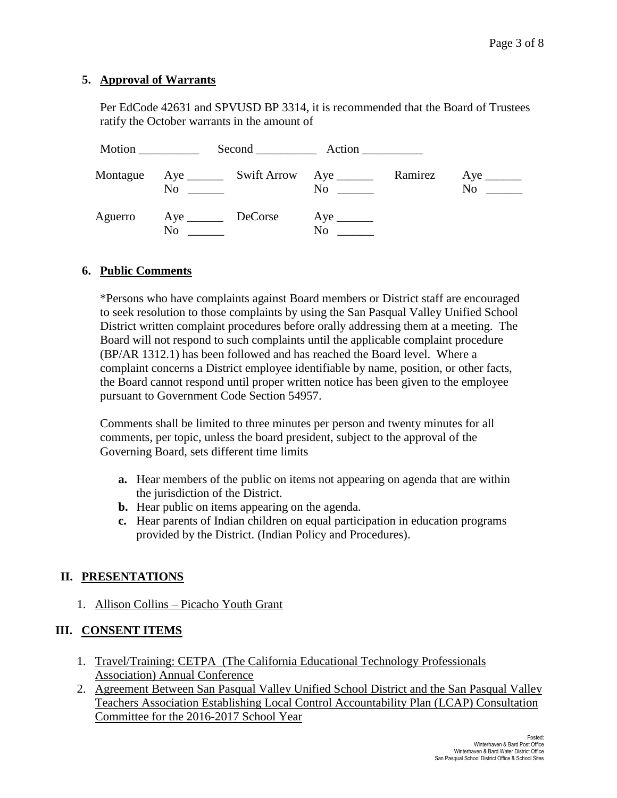#### **5. Approval of Warrants**

Per EdCode 42631 and SPVUSD BP 3314, it is recommended that the Board of Trustees ratify the October warrants in the amount of

| Motion   |                   |                |         |    |
|----------|-------------------|----------------|---------|----|
| Montague | N <sub>0</sub>    | N <sub>0</sub> | Ramirez | No |
| Aguerro  | Aye DeCorse<br>No | No             |         |    |

#### **6. Public Comments**

\*Persons who have complaints against Board members or District staff are encouraged to seek resolution to those complaints by using the San Pasqual Valley Unified School District written complaint procedures before orally addressing them at a meeting. The Board will not respond to such complaints until the applicable complaint procedure (BP/AR 1312.1) has been followed and has reached the Board level. Where a complaint concerns a District employee identifiable by name, position, or other facts, the Board cannot respond until proper written notice has been given to the employee pursuant to Government Code Section 54957.

Comments shall be limited to three minutes per person and twenty minutes for all comments, per topic, unless the board president, subject to the approval of the Governing Board, sets different time limits

- **a.** Hear members of the public on items not appearing on agenda that are within the jurisdiction of the District.
- **b.** Hear public on items appearing on the agenda.
- **c.** Hear parents of Indian children on equal participation in education programs provided by the District. (Indian Policy and Procedures).

# **II. PRESENTATIONS**

1. Allison Collins – Picacho Youth Grant

# **III. CONSENT ITEMS**

- 1. Travel/Training: CETPA (The California Educational Technology Professionals Association) Annual Conference
- 2. Agreement Between San Pasqual Valley Unified School District and the San Pasqual Valley Teachers Association Establishing Local Control Accountability Plan (LCAP) Consultation Committee for the 2016-2017 School Year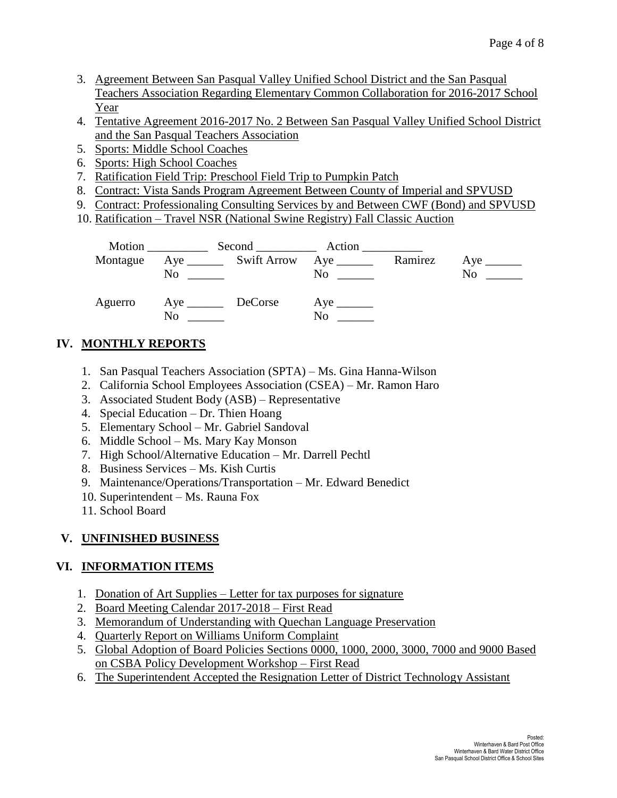- 3. Agreement Between San Pasqual Valley Unified School District and the San Pasqual Teachers Association Regarding Elementary Common Collaboration for 2016-2017 School Year
- 4. Tentative Agreement 2016-2017 No. 2 Between San Pasqual Valley Unified School District and the San Pasqual Teachers Association
- 5. Sports: Middle School Coaches
- 6. Sports: High School Coaches
- 7. Ratification Field Trip: Preschool Field Trip to Pumpkin Patch
- 8. Contract: Vista Sands Program Agreement Between County of Imperial and SPVUSD
- 9. Contract: Professionaling Consulting Services by and Between CWF (Bond) and SPVUSD
- 10. Ratification Travel NSR (National Swine Registry) Fall Classic Auction

| Montague | No                | Aye __________ Swift Arrow Aye ________ |                                                                                                                                                                                                                                                 | Ramirez | No. |
|----------|-------------------|-----------------------------------------|-------------------------------------------------------------------------------------------------------------------------------------------------------------------------------------------------------------------------------------------------|---------|-----|
| Aguerro  | Aye DeCorse<br>No |                                         | No new contract the set of the set of the set of the set of the set of the set of the set of the set of the set of the set of the set of the set of the set of the set of the set of the set of the set of the set of the set<br>N <sub>0</sub> |         |     |

# **IV. MONTHLY REPORTS**

- 1. San Pasqual Teachers Association (SPTA) Ms. Gina Hanna-Wilson
- 2. California School Employees Association (CSEA) Mr. Ramon Haro
- 3. Associated Student Body (ASB) Representative
- 4. Special Education Dr. Thien Hoang
- 5. Elementary School Mr. Gabriel Sandoval
- 6. Middle School Ms. Mary Kay Monson
- 7. High School/Alternative Education Mr. Darrell Pechtl
- 8. Business Services Ms. Kish Curtis
- 9. Maintenance/Operations/Transportation Mr. Edward Benedict
- 10. Superintendent Ms. Rauna Fox
- 11. School Board

# **V. UNFINISHED BUSINESS**

# **VI. INFORMATION ITEMS**

- 1. Donation of Art Supplies Letter for tax purposes for signature
- 2. Board Meeting Calendar 2017-2018 First Read
- 3. Memorandum of Understanding with Quechan Language Preservation
- 4. Quarterly Report on Williams Uniform Complaint
- 5. Global Adoption of Board Policies Sections 0000, 1000, 2000, 3000, 7000 and 9000 Based on CSBA Policy Development Workshop – First Read
- 6. The Superintendent Accepted the Resignation Letter of District Technology Assistant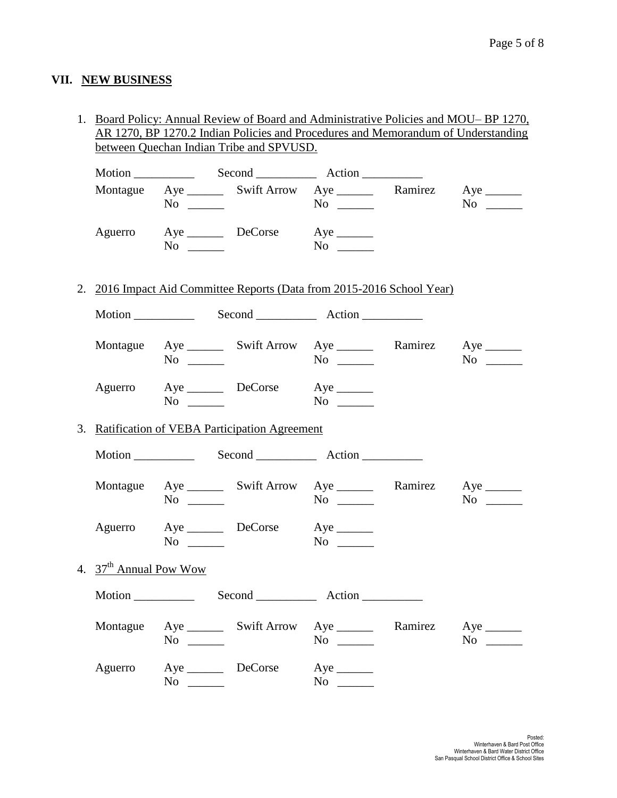# **VII. NEW BUSINESS**

1. Board Policy: Annual Review of Board and Administrative Policies and MOU– BP 1270, AR 1270, BP 1270.2 Indian Policies and Procedures and Memorandum of Understanding between Quechan Indian Tribe and SPVUSD.

|                                    | $No \ \_$ |                                                                             | Montague Aye _________ Swift Arrow Aye ___________ Ramirez Aye ________<br>$No \ \ \$ | $No \_$   |
|------------------------------------|-----------|-----------------------------------------------------------------------------|---------------------------------------------------------------------------------------|-----------|
| Aguerro                            | $No \ \_$ | Aye DeCorse Aye                                                             | $No \ \_$                                                                             |           |
|                                    |           |                                                                             | 2. 2016 Impact Aid Committee Reports (Data from 2015-2016 School Year)                |           |
|                                    |           |                                                                             | Motion Second Record Action                                                           |           |
|                                    | $No \ \_$ |                                                                             | Montague Aye ________ Swift Arrow Aye _________ Ramirez Aye _______<br>$No \ \_$      | $No \ \_$ |
|                                    |           | Aguerro Aye DeCorse Aye ________<br>$\overline{N}$ $\overline{\phantom{N}}$ | $No \ \_$                                                                             |           |
|                                    |           | 3. Ratification of VEBA Participation Agreement                             |                                                                                       |           |
|                                    |           |                                                                             |                                                                                       |           |
|                                    | $No \ \_$ |                                                                             | Montague Aye ________ Swift Arrow Aye ________ Ramirez Aye _______<br>$No \ \_$       | $No \t —$ |
|                                    | $No \ \_$ | Aguerro Aye DeCorse Aye ________                                            | $No \ \_$                                                                             |           |
| 4. 37 <sup>th</sup> Annual Pow Wow |           |                                                                             |                                                                                       |           |
|                                    |           |                                                                             | Motion Second Record Action                                                           |           |
|                                    | $No \ \_$ |                                                                             | Montague Aye ________ Swift Arrow Aye ________ Ramirez Aye _______<br>$No \ \_$       | $No \ \_$ |
|                                    |           | Aguerro Aye DeCorse Aye<br>$No \ \ \_\_$                                    | $No \ \_$                                                                             |           |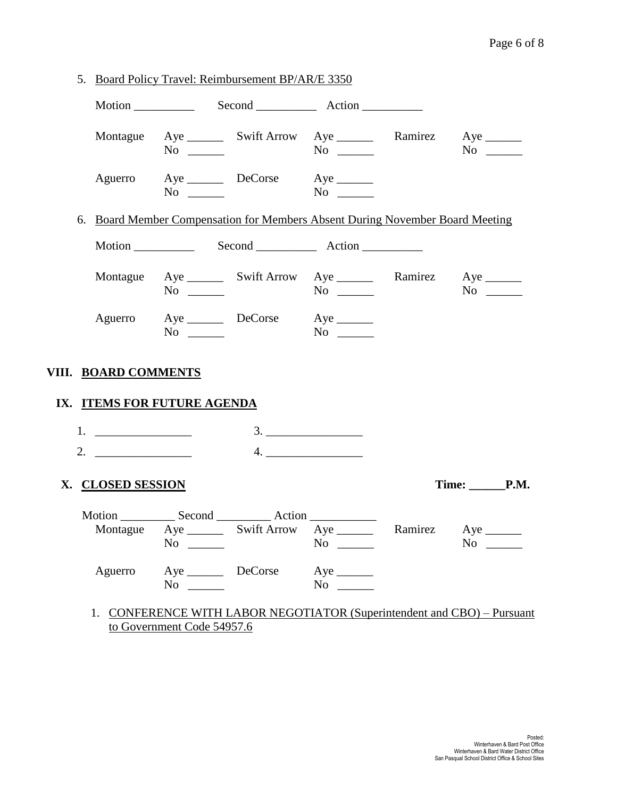|                                                                                                                                                                                                                                                                                                                        |                             | 5. Board Policy Travel: Reimbursement BP/AR/E 3350                            |                   |                                                                         |
|------------------------------------------------------------------------------------------------------------------------------------------------------------------------------------------------------------------------------------------------------------------------------------------------------------------------|-----------------------------|-------------------------------------------------------------------------------|-------------------|-------------------------------------------------------------------------|
|                                                                                                                                                                                                                                                                                                                        |                             |                                                                               |                   |                                                                         |
|                                                                                                                                                                                                                                                                                                                        | $No \_$                     | Montague Aye ________ Swift Arrow Aye _________ Ramirez Aye _______           |                   |                                                                         |
|                                                                                                                                                                                                                                                                                                                        |                             | Aguerro Aye DeCorse Aye _______<br>$No \t No$                                 |                   |                                                                         |
|                                                                                                                                                                                                                                                                                                                        |                             | 6. Board Member Compensation for Members Absent During November Board Meeting |                   |                                                                         |
|                                                                                                                                                                                                                                                                                                                        |                             |                                                                               |                   |                                                                         |
|                                                                                                                                                                                                                                                                                                                        | $No \_\_$                   | Montague Aye ________ Swift Arrow Aye ________ Ramirez Aye _______            |                   | $No \ \_$                                                               |
|                                                                                                                                                                                                                                                                                                                        | $No \ \_$                   | Aguerro Aye DeCorse Aye                                                       |                   |                                                                         |
| VIII. BOARD COMMENTS                                                                                                                                                                                                                                                                                                   |                             |                                                                               |                   |                                                                         |
|                                                                                                                                                                                                                                                                                                                        | IX. ITEMS FOR FUTURE AGENDA |                                                                               |                   |                                                                         |
|                                                                                                                                                                                                                                                                                                                        |                             |                                                                               |                   |                                                                         |
| 2. $\frac{1}{2}$ $\frac{1}{2}$ $\frac{1}{2}$ $\frac{1}{2}$ $\frac{1}{2}$ $\frac{1}{2}$ $\frac{1}{2}$ $\frac{1}{2}$ $\frac{1}{2}$ $\frac{1}{2}$ $\frac{1}{2}$ $\frac{1}{2}$ $\frac{1}{2}$ $\frac{1}{2}$ $\frac{1}{2}$ $\frac{1}{2}$ $\frac{1}{2}$ $\frac{1}{2}$ $\frac{1}{2}$ $\frac{1}{2}$ $\frac{1}{2}$ $\frac{1}{2}$ |                             |                                                                               |                   |                                                                         |
| X. CLOSED SESSION                                                                                                                                                                                                                                                                                                      |                             |                                                                               |                   | Time: _______P.M.                                                       |
|                                                                                                                                                                                                                                                                                                                        | $No \_$                     | Montague Aye ________ Swift Arrow Aye _________ Ramirez Aye _______           | $No \ \_$         | $\mathbf{N}\mathbf{o}$                                                  |
|                                                                                                                                                                                                                                                                                                                        | $No \ \_$                   | Aguerro Aye DeCorse Aye _______                                               | $\rm No$ $\qquad$ |                                                                         |
|                                                                                                                                                                                                                                                                                                                        |                             |                                                                               |                   | 1. CONFERENCE WITH LABOR NEGOTIATOR (Superintendent and CBO) - Pursuant |

to Government Code 54957.6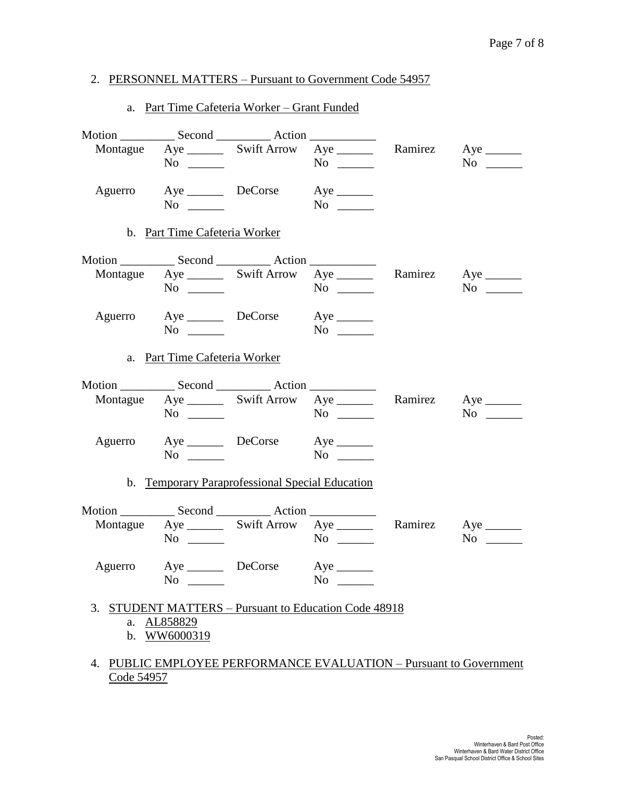### 2. PERSONNEL MATTERS – Pursuant to Government Code 54957

|                | a. Part Time Cafeteria Worker – Grant Funded                                      |                          |           |           |
|----------------|-----------------------------------------------------------------------------------|--------------------------|-----------|-----------|
|                |                                                                                   |                          |           |           |
|                | Montague Aye ________ Swift Arrow Aye ________ Ramirez Aye _______<br>$No \ \_$   |                          | $No \ \_$ | $No \ \_$ |
| Aguerro        | $\overline{\text{No}}$                                                            | Aye DeCorse Aye ________ | $No \ \_$ |           |
|                | b. Part Time Cafeteria Worker                                                     |                          |           |           |
|                |                                                                                   |                          |           |           |
|                | Montague Aye ________ Swift Arrow Aye ________ Ramirez Aye _______<br>$No \ \_$   |                          |           | $No \ \_$ |
|                | Aguerro Aye DeCorse Aye ________<br>$No \ \_$                                     |                          |           |           |
|                | a. Part Time Cafeteria Worker                                                     |                          |           |           |
|                |                                                                                   |                          |           |           |
|                | Montague Aye ________ Swift Arrow Aye ________ Ramirez Aye _______<br>$No \ \_$   |                          |           | $No \ \_$ |
|                | Aguerro Aye DeCorse Aye ________<br>$No \_$                                       |                          |           |           |
|                | b. Temporary Paraprofessional Special Education                                   |                          |           |           |
|                |                                                                                   |                          |           |           |
|                | Montague Aye ________ Swift Arrow Aye ________ Ramirez Aye _______<br>$No \ \_$   |                          |           | $No \ \_$ |
| Aguerro        | Aye _________ DeCorse<br>No $\qquad$                                              |                          | $No \ \_$ |           |
| $\mathbf{b}$ . | 3. STUDENT MATTERS - Pursuant to Education Code 48918<br>a. AL858829<br>WW6000319 |                          |           |           |

### 4. PUBLIC EMPLOYEE PERFORMANCE EVALUATION – Pursuant to Government Code 54957